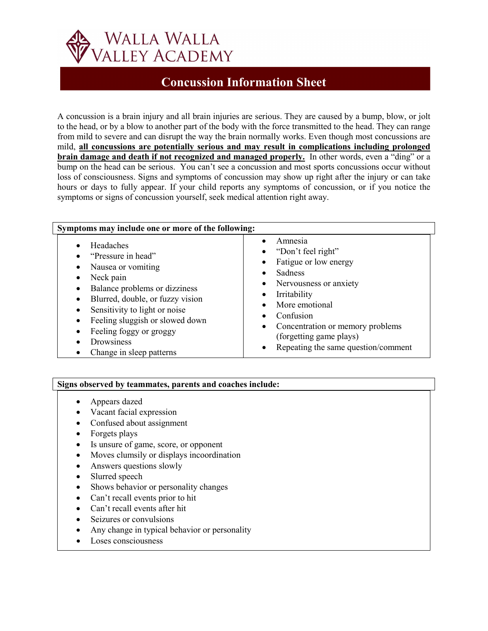

## **Concussion Information Sheet**

A concussion is a brain injury and all brain injuries are serious. They are caused by a bump, blow, or jolt to the head, or by a blow to another part of the body with the force transmitted to the head. They can range from mild to severe and can disrupt the way the brain normally works. Even though most concussions are mild, **all concussions are potentially serious and may result in complications including prolonged brain damage and death if not recognized and managed properly.** In other words, even a "ding" or a bump on the head can be serious. You can't see a concussion and most sports concussions occur without loss of consciousness. Signs and symptoms of concussion may show up right after the injury or can take hours or days to fully appear. If your child reports any symptoms of concussion, or if you notice the symptoms or signs of concussion yourself, seek medical attention right away.

| Symptoms may include one or more of the following:                                                                                                                                                                                                                               |                                                                                                                                                                                                                                                                                             |  |
|----------------------------------------------------------------------------------------------------------------------------------------------------------------------------------------------------------------------------------------------------------------------------------|---------------------------------------------------------------------------------------------------------------------------------------------------------------------------------------------------------------------------------------------------------------------------------------------|--|
| Headaches<br>"Pressure in head"<br>Nausea or vomiting<br>Neck pain<br>Balance problems or dizziness<br>Blurred, double, or fuzzy vision<br>Sensitivity to light or noise<br>Feeling sluggish or slowed down<br>Feeling foggy or groggy<br>Drowsiness<br>Change in sleep patterns | Amnesia<br>• "Don't feel right"<br>Fatigue or low energy<br>$\bullet$<br>Sadness<br>Nervousness or anxiety<br>$\bullet$<br>Irritability<br>More emotional<br>Confusion<br>• Concentration or memory problems<br>(forgetting game plays)<br>Repeating the same question/comment<br>$\bullet$ |  |

## **Signs observed by teammates, parents and coaches include:**

- Appears dazed
- Vacant facial expression
- Confused about assignment
- Forgets plays
- Is unsure of game, score, or opponent
- Moves clumsily or displays incoordination
- Answers questions slowly
- Slurred speech
- Shows behavior or personality changes
- Can't recall events prior to hit
- Can't recall events after hit
- Seizures or convulsions
- Any change in typical behavior or personality
- Loses consciousness